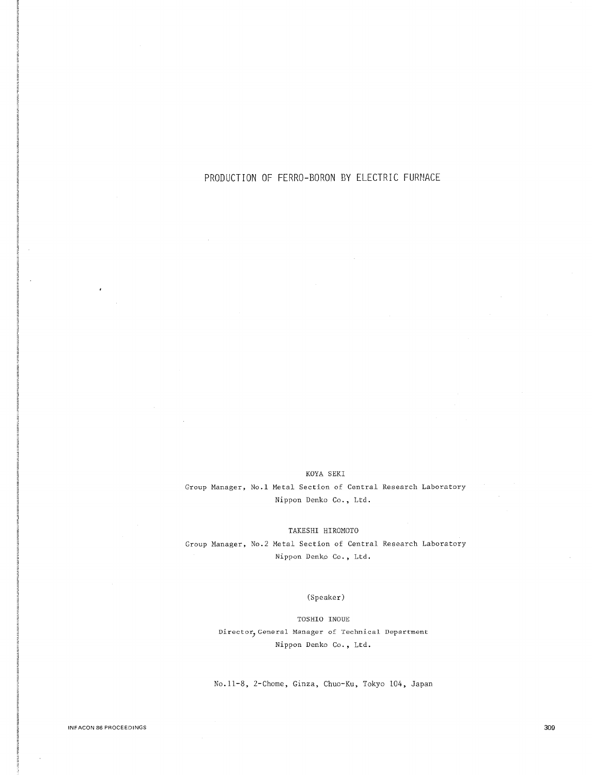# PRODUCTION OF FERRO-BORON BY ELECTRIC FURNACE

## KOYA SEKI

Group Manager, No.l Metal Section of Central Research Laboratory Nippon Denko Co., Ltd.

TAKESHI HIROMOTO

Group Manager, No.2 Metal Section of Central Research Laboratory Nippon Denko Co. , Ltd.

# (Speaker)

TOSHIO INOUE Director, General Manager of Technical Department Nippon Denko Co., Ltd.

No.11-8, 2-Chome, Ginza, Chuo-Ku, Tokyo 104, Japan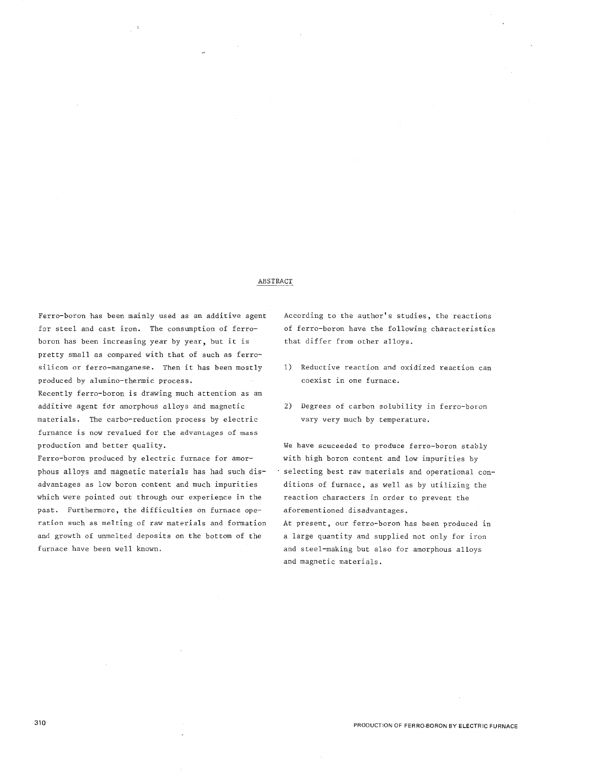#### ABSTRACT

Ferro-boron has been mainly used as an additive agent for steel and cast iron. The consumption of ferroboron has been increasing year by year, but it is pretty small as compared with that of such as ferrosilicon or ferro-manganese. Then it has been mostly produced by alumino-thermic process. Recently ferro-boron is drawing much attention as an additive agent for amorphous alloys and magnetic materials. The carbo-reduction process by electric furnance is now revalued for the advantages of mass production and better quality.

Ferro-boron produced by electric furnace for amorphous alloys and magnetic materials has had such disadvantages as low boron content and much impurities which were pointed out through our experience in the past. Furthermore, the difficulties on furnace operation such as melting of raw materials and formation and growth of unmelted deposits on the bottom of the furnace have been well known.

According to the author's studies, the reactions of ferro-boron have the following characteristics that differ from other alloys.

- 1) Reductive reaction and oxidized reaction can coexist in one furnace.
- 2) Degrees of carbon solubility in ferro-boron vary very much by temperature.

We have scuceeded to produce ferro-boron stably with high boron content and low impurities by selecting best raw materials and operational conditions of furnace, as well as by utilizing the reaction characters in order to prevent the aforementioned disadvantages.

At present, our ferro-boron has been produced in a large quantity and supplied not only for iron and steel-making but also for amorphous alloys and magnetic materials.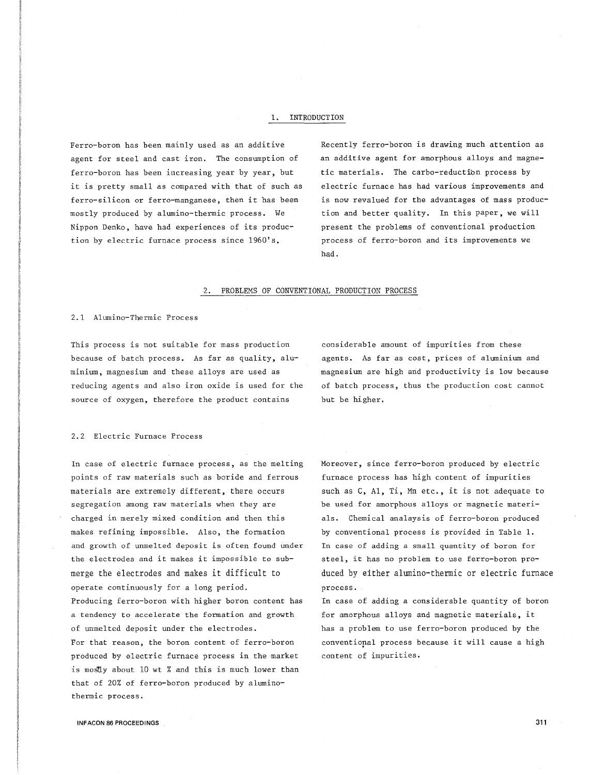#### 1. INTRODUCTION

agent for steel and cast iron. The consumption of ferro-boron has been increasing year by year, but it is pretty small as compared with that of such as ferro-silicon or ferro-manganese, then it has been mostly produced by alumino-thermic process. We Nippon Denko, have had experiences of its production by electric furnace process since 1960's,

Ferro-boron has been mainly used as an additive Recently ferro-boron is drawing much attention as an additive agent for amorphous alloys and magnetic materials. The carbo-reductibn process by electric furnace has had various improvements and is now revalued for the advantages of mass production and better quality. In this paper, we will present the problems of conventional production process of ferro-boron and its improvements we had.

# 2. PROBLEMS OF CONVENTIONAL PRODUCTION PROCESS

#### 2.1 Alumino-Thermic Process

This process is not suitable for mass production because of batch process. As far as quality, aluminium, magnesium and these alloys are used as reducing agents and also iron oxide is used for the source of oxygen, therefore the product contains

considerable amount of impurities from these agents. As far as cost, prices of aluminium and magnesium are high and productivity is low because of batch process, thus the production cost cannot but be higher.

#### 2.2 Electric Furnace Process

In case of electric furnace process, as the melting points of raw materials such as boride and ferrous materials are extremely different, there occurs segregation among raw materials when they are charged in merely mixed condition and then this makes refining impossible. Also, the formation and growth of unmelted deposit is often found under the electrodes and it makes it impossible to submerge the electrodes and makes it difficult to operate continuously for a long period. Producing ferro-boron with higher boron content has a tendency to accelerate the formation and growth of unmelted deposit under the electrodes. For that reason, the boron content of ferro-boron produced by electric furnace process in the market is mostly about 10 wt % and this is much lower than that of 20% of ferro-boron produced by aluminothermic process.

Moreover, since ferro-boron produced by electric furnace process has high content of impurities such as C, Al, Ti, Mn etc., it is not adequate to be used for amorphous alloys or magnetic materials. Chemical analaysis of ferro-boron produced by conventional process is provided in Table 1. In case of adding a small quantity of boron for steel, it has no problem to use ferro-boron produced by either alumino-thermic or electric furnace process.

In case of adding a considerable quantity of boron for amorphous alloys and magnetic materials, it has a problem to use ferro-boron produced by the conventional process because it will cause a high content of impurities.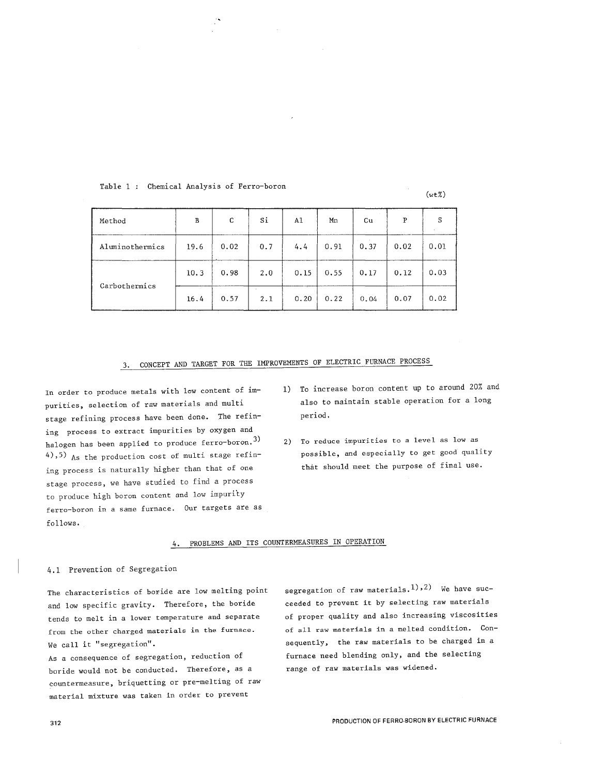| Method          | $\, {\bf B}$ | C    | Si  | A1   | Mn   | Cu   | P    | S    |
|-----------------|--------------|------|-----|------|------|------|------|------|
| Aluminothermics | 19.6         | 0.02 | 0.7 | 4.4  | 0.91 | 0.37 | 0.02 | 0.01 |
|                 | 10.3         | 0.98 | 2.0 | 0.15 | 0.55 | 0.17 | 0.12 | 0.03 |
| Carbothermics   | 16.4         | 0.57 | 2.1 | 0.20 | 0.22 | 0.04 | 0.07 | 0.02 |

# Table 1 Chemical Analysis of Ferro-boron

# 3. CONCEPT AND TARGET FOR THE IMPROVEMENTS OF ELECTRIC FURNACE PROCESS

In order to produce metals with low content of impurities, selection of raw materials and multi stage refining process have been done. The refining process to extract impurities by oxygen and halogen has been applied to produce ferro-boron.<sup>3)</sup> 4),5) As the production cost of multi stage refining process is naturally higher than that of one stage process, we have studied to find a process to produce high boron content and low impurity ferro-boron in a same furnace. Our targets are as follows.

1) To increase boron content up to around 20% and also to maintain stable operation for a long period.

 $(wt\%)$ 

2) To reduce impurities to a level as low as possible, and especially to get good quality that should meet the purpose of final use.

# 4. PROBLEMS AND ITS COUNTERMEASURES IN OPERATION

# 4.1 Prevention of Segregation

The characteristics of boride are low melting point and low specific gravity. Therefore, the boride tends to melt in a lower temperature and separate **from the other charged materials in the furnace.**  We call it "segregation".

As a consequence of segregation, reduction of boride would not be conducted. Therefore, as a countermeasure, briquetting or pre-melting of raw material mixture was taken in order to prevent

segregation of raw materials.<sup>1</sup>),<sup>2</sup>) We have succeeded to prevent it by selecting raw materials of proper quality and also increasing viscosities of all raw materials in a melted condition. Consequently, the raw materials to be charged in a furnace need blending only, and the selecting range of raw materials was widened.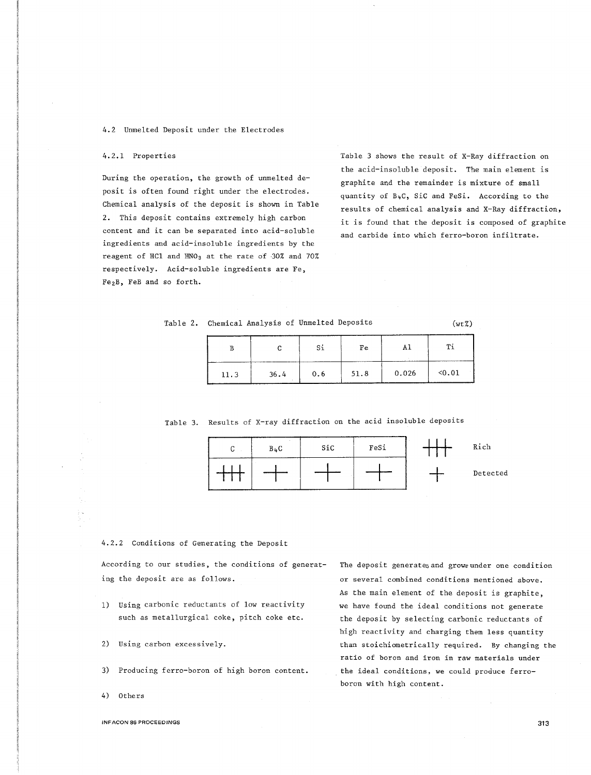#### 4.2 Unmelted Deposit under the Electrodes

#### 4.2.1 Properties

During the operation, the growth of unmelted deposit is often found right under the electrodes. Chemical analysis of the deposit is shown in Table 2. This deposit contains extremely high carbon content and it can be separated into acid-soluble ingredients and acid-insoluble ingredients by the reagent of HCl and  $HNO<sub>3</sub>$  at the rate of 30% and 70% respectively. Acid-soluble ingredients are Fe, Fe<sub>2</sub>B, FeB and so forth.

Table 3 shows the result of X-Ray diffraction on the acid-insoluble deposit. The main element is graphite and the remainder is mixture of small quantity of B4C, SiC and FeSi. According to the results of chemical analysis and X-Ray diffraction, it is found that the deposit is composed of graphite and carbide into which ferro-boron infiltrate.

# Table 2. Chemical Analysis of Unmelted Deposits (wt%)

|      |      |     | Fe   |       |        |
|------|------|-----|------|-------|--------|
| 11.3 | 36.4 | 0.6 | 51.8 | 0.026 | < 0.01 |

Table 3. Results of X-ray diffraction on the acid insoluble deposits



#### 4.2.2 Conditions of Generating the Deposit

According to our studies, the conditions of generating the deposit are as follows.

- 1) Using carbonic reductants of low reactivity such as metallurgical coke, pitch coke etc.
- 2) Using carbon excessively.
- 3) Producing ferro-boron of high boron content.
- 4) Others

The deposit generates and grows under one condition or several combined conditions mentioned above. As the main element of the deposit is graphite, we have found the ideal conditions not generate the deposit by selecting carbonic reductants of high reactivity and charging them less quantity than stoichiometrically required. By changing the ratio of boron and iron in raw materials under the ideal conditions, we could produce ferroboron with high content.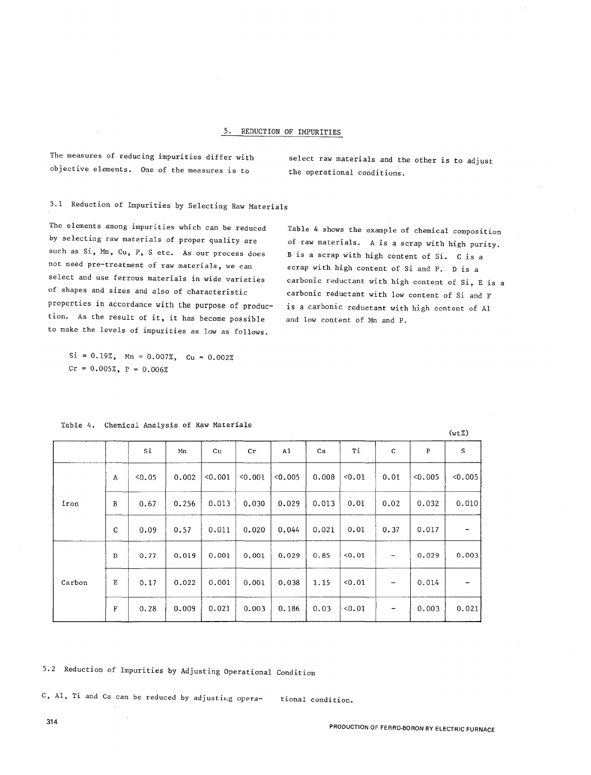#### 5. REDUCTION OF IMPURITIES

The measures of reducing impurities differ with objective elements. One of the measures is to

select raw materials and the other is to adjust the operational conditions.

5.1 Reduction of Impurities by Selecting Raw Materials

The elements among impurities which can be reduced by selecting raw materials of proper quality are such as Si, Mn, Cu, P, S etc. As our process does not need pre-treatment of raw materials, we can select and use ferrous materials in wide varieties of shapes and sizes and also of characteristic properties in accordance with the purpose of production. As the result of it, it has become possible to make the levels of impurities as low as follows.

Table 4 shows the example of chemical composition of raw materials. A is a scrap with high purity. <sup>B</sup>is a scrap with high content of Si. C is a scrap with high content of Si and P. D is a carbonic reductant with high content of Si, E is a carbonic reductant with low content of Si and F is a carbonic reductant with high content of Al and low content of Mn and P.

|  | $Si = 0.19\%$ , Mn = 0.007%, Cu = 0.002% |  |  |
|--|------------------------------------------|--|--|
|  | $Cr = 0.005\%$ , $P = 0.006\%$           |  |  |

|        |             |        |       |         |         |       |       |        |      |           | (wtZ)   |
|--------|-------------|--------|-------|---------|---------|-------|-------|--------|------|-----------|---------|
|        |             | Si     | Mn    | Cu      | Cr      | A1    | Ca    | Ti     | C    | ${\bf P}$ | S       |
| Iron   | Α           | < 0.05 | 0.002 | < 0.001 | < 0.001 | 0.005 | 0.008 | < 0.01 | 0.01 | 0.005     | < 0.005 |
|        | B           | 0.67   | 0.256 | 0.013   | 0.030   | 0.029 | 0.013 | 0.01   | 0.02 | 0.032     | 0.010   |
|        | C           | 0.09   | 0.57  | 0.011   | 0.020   | 0.044 | 0.021 | 0.01   | 0.37 | 0.017     |         |
|        | D           | 0.77   | 0.019 | 0.001   | 0.001   | 0.029 | 0.85  | < 0.01 |      | 0.029     | 0,003   |
| Carbon | Е           | 0.17   | 0.022 | 0.001   | 0.001   | 0.038 | 1.15  | 0.01   |      | 0.014     |         |
|        | $\mathbf F$ | 0.28   | 0.009 | 0.021   | 0.003   | 0.186 | 0.03  | ∤<0.01 |      | 0.003     | 0.021   |

Table 4. Chemical Analysis of Raw Materials

5.2 Reduction of Impurities by Adjusting Operational Condition

C,  $AI$ , Ti and Ca can be reduced by adjusting opera- tional condition.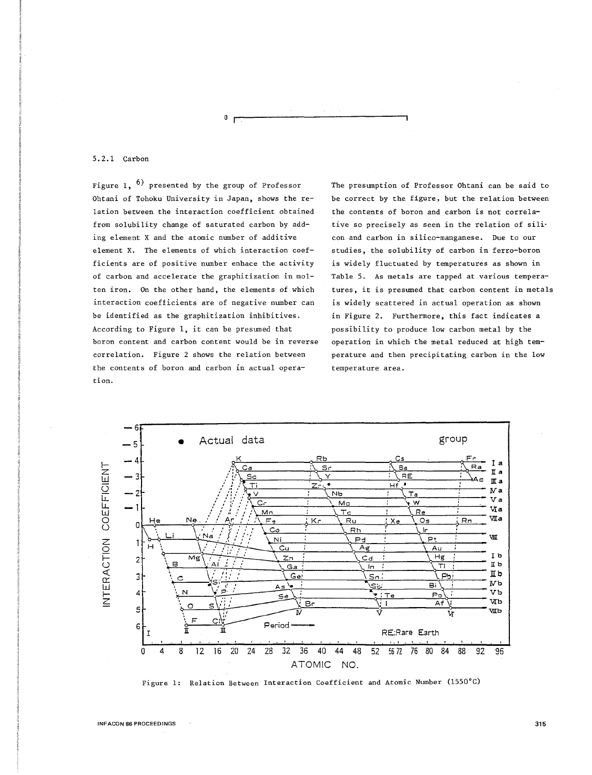5.2.1 Carbon

Figure 1,  $\overline{6}$  presented by the group of Professor Ohtani of Tohoku University in Japan, shows the relation between the interaction coefficient obtained from solubility change of saturated carbon by adding element X and the atomic number of additive element X. The elements of which interaction coefficients are of positive number enhace the activity of carbon and accelerate the graphitization in molten iron. On the other hand, the elements of which interaction coefficients are of negative number can be identified as the graphitization inhibitives. According to Figure 1, it can be presumed that boron content and carbon content would be in reverse correlation. Figure 2 shows the relation between the contents of boron and carbon in actual operation.

 $0<sub>0</sub>$ 

The presumption of Professor Ohtani can be said to be correct by the figure, but the relation between the contents of boron and carbon is not correlative so precisely as seen in the relation of sili· con and carbon in silica-manganese. Due to our studies, the solubility of carbon in ferro-boron is widely fluctuated by temperatures as shown in Table 5. As metals are tapped at various temperatures, it is presumed that carbon content in metals is widely scattered in actual operation as shown in Figure 2. Furthermore, this fact indicates a possibility to produce low carbon metal by the operation in which the metal reduced at high temperature and then precipitating carbon in the low temperature area.



Figure 1: Relation Between Interaction Coefficient and Atomic Number (1550°C)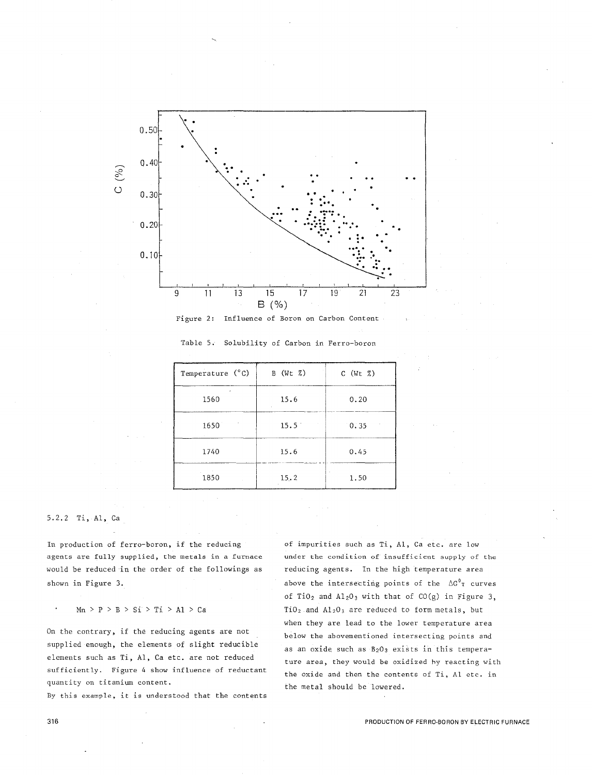



| Temperature (°C) | $B$ (Wt $Z$ )  | $C$ (Wt $Z$ ) |
|------------------|----------------|---------------|
| 1560             | 15.6           | 0.20          |
| 1650             | $15.5^{\circ}$ | 0.35          |
| 1740             | 15.6           | 0.45          |
| 1850             | 15.2           | 1.50          |

Table 5. Solubility of Carbon in Ferro-boron

# 5.2.2 Ti, Al, Ca

In production of ferro-boron, if the reducing **agents are fully supplied, the metals in a furnace**  would be reduced in the order of the followings as shown in Figure 3.

 $Mn > P > B > SI > Ti > A1 > Ca$ 

On the contrary, if the reducing agents are not supplied enough, the elements of slight reducible elements such as Ti, Al, Ca etc. are not reduced sufficiently. Figure 4 show influence of reductant **quantity on titanium content.** 

**By this example, it is understood that the contents** 

of impurities such as Ti, Al, Ca etc. are low **under the condition of insufficient supply of the**  reducing agents. In the high temperature area above the intersecting points of the  $\Delta G^0$  curves of TiO<sub>2</sub> and Al<sub>2</sub>O<sub>3</sub> with that of CO(g) in Figure 3,  $TiO<sub>2</sub>$  and  $Al<sub>2</sub>O<sub>3</sub>$  are reduced to form metals, but when they are lead to the lower temperature area below the abovementioned intersecting points and as an oxide such as  $B_2O_3$  exists in this temperature area, they would be oxidized hy reacting with the oxide and then the contents of Ti, Al etc. in the metal should be lowered.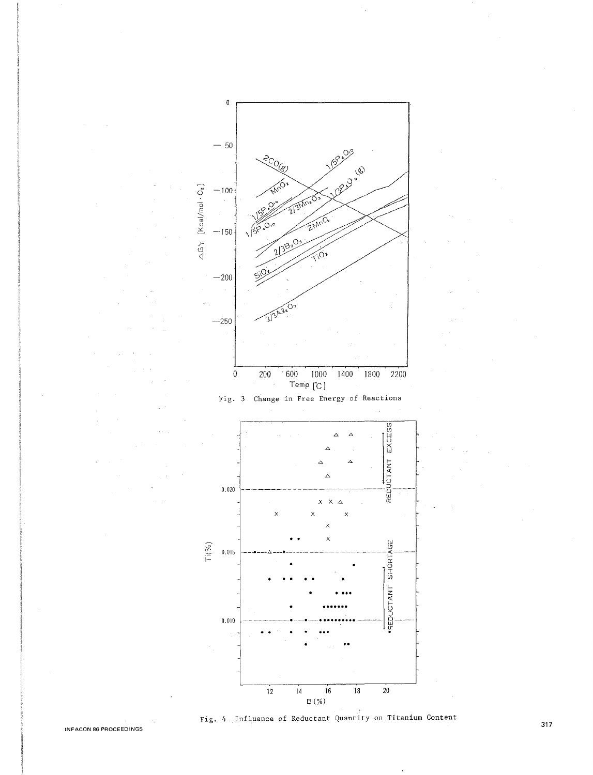

Fig. 4 Influence of Reductant Quantity on Titanium Content INFACON 86 PROCEEDINGS **317 INFACON 86 PROCEEDINGS**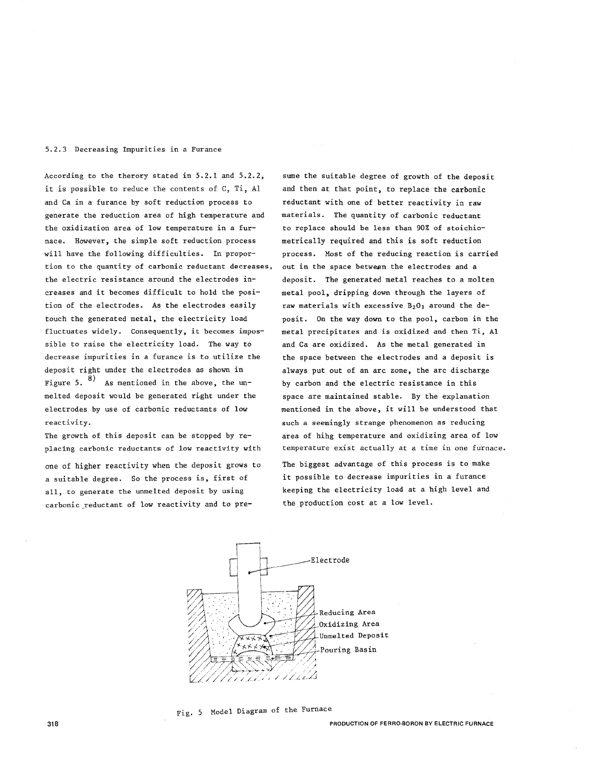## 5.2.3 Decreasing Impurities in a Furance

According to the therory stated in 5.2.1 and 5.2.2, it is possible to reduce the contents of C, Ti, Al and Ca in a furance by soft reduction process to generate the reduction area of high temperature and the oxidization area of low temperature in a furnace. However, the simple soft reduction process will have the following difficulties. In proportion to the quantity of carbonic reductant decreases, out in the space between the electrodes and a the electric resistance around the electrodes increases and it becomes difficult to hold the position of the electrodes. As the electrodes easily touch the generated metal, the electricity load fluctuates widely. Consequently, it becomes impossible to raise the electricity load. The way to decrease impurities in a furance is to utilize the deposit right under the electrodes as shown in Figure 5.  $\frac{8}{10}$  As mentioned in the above, the unmelted deposit would be generated right under the electrodes by use of carbonic reductants of low reactivity.

The growth of this deposit can be stopped by replacing carbonic reductants of low reactivity with

one of higher reactivity when the deposit grows to a suitable degree. So the process is, first of all, to generate the unmelted deposit by using carbonic\_reductant of low reactivity and to presume the suitable degree of growth of the deposit and then at that point, to replace the carbonic reductant with one of better reactivity in raw materials. The quantity of carbonic reductant to replace should be less than 90% of stoichiometrically required and this is soft reduction process. Most of the reducing reaction is carried deposit. The generated metal reaches to a molten metal pool, dripping down through the layers of raw materials with excessive  $B_2O_3$  around the deposit. On the way down to the pool, carbon in the metal precipitates and is oxidized and then Ti, Al and Ca are oxidized. As the metal generated in the space between the electrodes and a deposit is always put out of an arc zone, the arc discharge by carbon and the electric resistance in this space are maintained stable. By the explanation mentioned in the above, it will be understood that such a seemingly strange phenomenon as reducing area of hihg temperature and oxidizing area of low temperature exist actually at a time in one furnace.

The biggest advantage of this process is to make it possible to decrease impurities in a furance keeping the electricity load at a high level and the production cost at a low level.



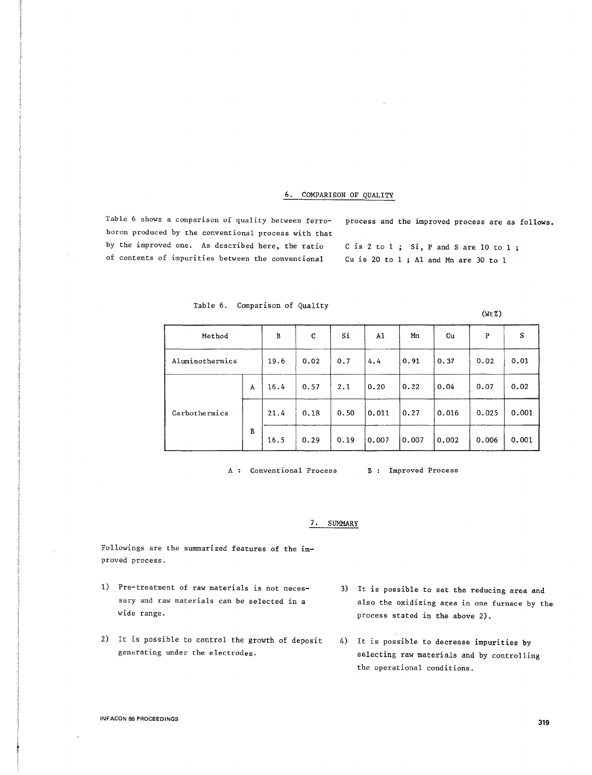## 6. COMPARISON OF QUALITY

Table 6 shows a comparison of quality between ferroboron produced by the conventional process with that by the improved one. As described here, the ratio of contents of impurities between the conventional

process and the improved process are as follows.

 $(WtZ)$ 

C is 2 to  $1$ ; Si, P and S are 10 to  $1$ ; Cu is 20 to 1 ; Al and Mn are 30 to 1

| Method          |   | B    | C    | Si   | A1    | Mn    | Cu    | P     | S     |
|-----------------|---|------|------|------|-------|-------|-------|-------|-------|
| Aluminothermics |   | 19.6 | 0.02 | 0.7  | 4.4   | 0.91  | 0.37  | 0.02  | 0.01  |
| Carbothermics   | A | 16.4 | 0.57 | 2.1  | 0.20  | 0.22  | 0.04  | 0.07  | 0.02  |
|                 |   | 21.4 | 0.18 | 0.50 | 0.011 | 0.27  | 0.016 | 0.025 | 0.001 |
|                 | B | 16.5 | 0.29 | 0.19 | 0.007 | 0.007 | 0.002 | 0.006 | 0.001 |

Table 6. Comparison of Quality

A : Conventional Process

B Improved Process

#### 7. SUMMARY

Followings are the summarized features of the improved process.

- 1) Pre-treatment of raw materials is not necessary and raw materials can be selected in a wide range.
- 2) It is possible to control the growth of deposit generating under the electrodes.
- 3) It is possible to set the reducing area and also the oxidizing area in one furnace by the process stated in the above 2).
- 4) It is possible to decrease impurities by selecting raw materials and by controlling the operational conditions.

INFACON 86 PROCEEDINGS